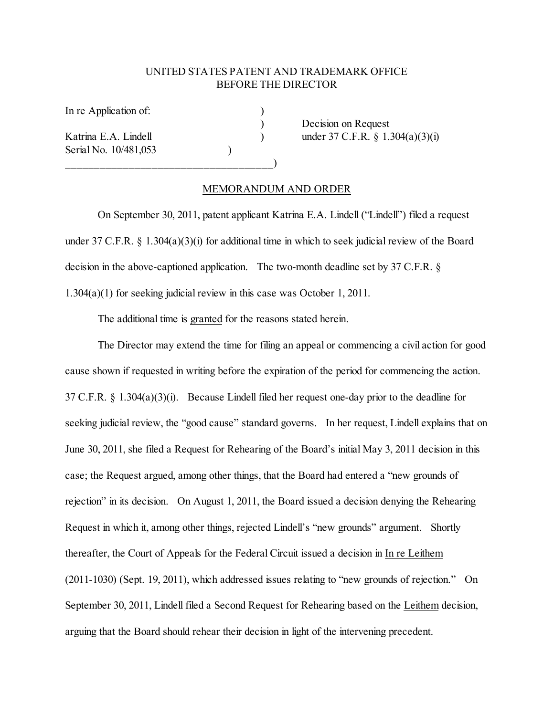## UNITED STATES PATENT AND TRADEMARK OFFICE BEFORE THE DIRECTOR

In re Application of:

Serial No. 10/481,053 (1994)

 $\qquad \qquad \qquad \qquad \qquad$ 

) Decision on Request Katrina E.A. Lindell (a) under 37 C.F.R. § 1.304(a)(3)(i)

## MEMORANDUM AND ORDER

On September 30, 2011, patent applicant Katrina E.A. Lindell ("Lindell") filed a request under 37 C.F.R.  $\S$  1.304(a)(3)(i) for additional time in which to seek judicial review of the Board decision in the above-captioned application. The two-month deadline set by 37 C.F.R. § 1.304(a)(1) for seeking judicial review in this case was October 1, 2011.

The additional time is granted for the reasons stated herein.

The Director may extend the time for filing an appeal or commencing a civil action for good cause shown if requested in writing before the expiration of the period for commencing the action. 37 C.F.R. § 1.304(a)(3)(i). Because Lindell filed her request one-day prior to the deadline for seeking judicial review, the "good cause" standard governs. In her request, Lindell explains that on June 30, 2011, she filed a Request for Rehearing of the Board's initial May 3, 2011 decision in this case; the Request argued, among other things, that the Board had entered a "new grounds of rejection" in its decision. On August 1, 2011, the Board issued a decision denying the Rehearing Request in which it, among other things, rejected Lindell's "new grounds" argument. Shortly thereafter, the Court of Appeals for the Federal Circuit issued a decision in In re Leithem (2011-1030) (Sept. 19, 2011), which addressed issues relating to "new grounds of rejection." On September 30, 2011, Lindell filed a Second Request for Rehearing based on the Leithem decision, arguing that the Board should rehear their decision in light of the intervening precedent.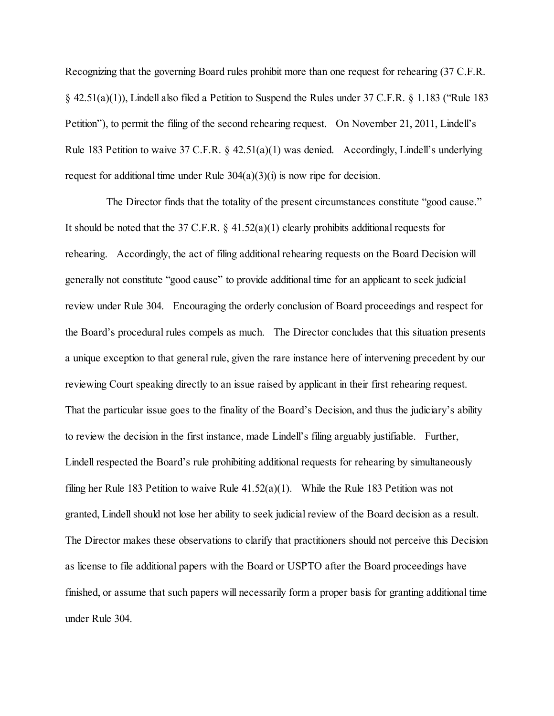Recognizing that the governing Board rules prohibit more than one request for rehearing (37 C.F.R. § 42.51(a)(1)), Lindell also filed a Petition to Suspend the Rules under 37 C.F.R. § 1.183 ("Rule 183 Petition"), to permit the filing of the second rehearing request. On November 21, 2011, Lindell's Rule 183 Petition to waive 37 C.F.R.  $\S$  42.51(a)(1) was denied. Accordingly, Lindell's underlying request for additional time under Rule  $304(a)(3)(i)$  is now ripe for decision.

 The Director finds that the totality of the present circumstances constitute "good cause." It should be noted that the 37 C.F.R.  $\S$  41.52(a)(1) clearly prohibits additional requests for rehearing. Accordingly, the act of filing additional rehearing requests on the Board Decision will generally not constitute "good cause" to provide additional time for an applicant to seek judicial review under Rule 304. Encouraging the orderly conclusion of Board proceedings and respect for the Board's procedural rules compels as much. The Director concludes that this situation presents a unique exception to that general rule, given the rare instance here of intervening precedent by our reviewing Court speaking directly to an issue raised by applicant in their first rehearing request. That the particular issue goes to the finality of the Board's Decision, and thus the judiciary's ability to review the decision in the first instance, made Lindell's filing arguably justifiable. Further, Lindell respected the Board's rule prohibiting additional requests for rehearing by simultaneously filing her Rule 183 Petition to waive Rule 41.52(a)(1). While the Rule 183 Petition was not granted, Lindell should not lose her ability to seek judicial review of the Board decision as a result. The Director makes these observations to clarify that practitioners should not perceive this Decision as license to file additional papers with the Board or USPTO after the Board proceedings have finished, or assume that such papers will necessarily form a proper basis for granting additional time under Rule 304.